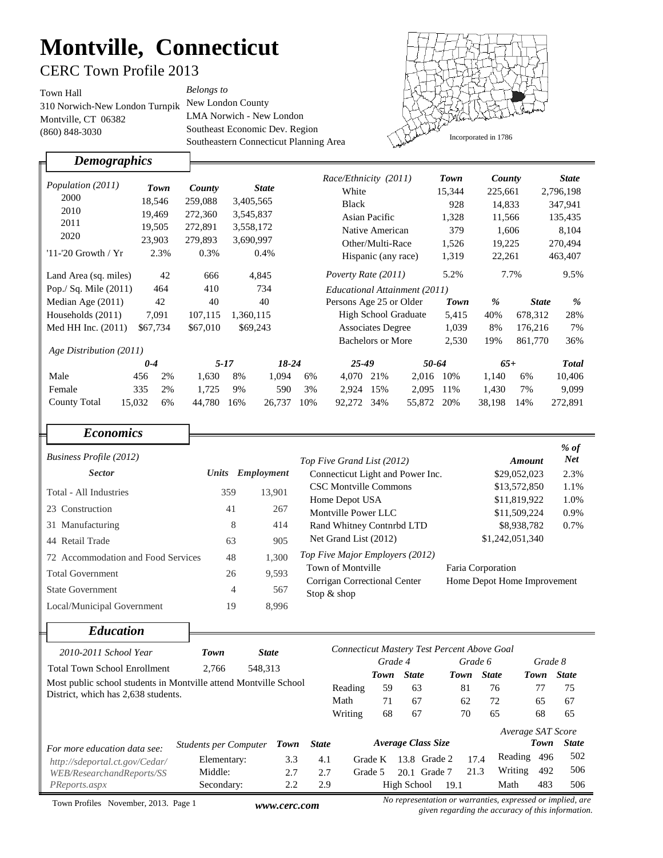# **Montville, Connecticut**

### CERC Town Profile 2013

310 Norwich-New London Turnpik New London County Town Hall (860) 848-3030 Montville, CT 06382

LMA Norwich - New London Southeast Economic Dev. Region Southeastern Connecticut Planning Area *Belongs to*



*Demographics* 

╓

|                         |              |          |               |         |                     | Race/Ethnicity (2011)         |                   |        | Town         | County |              | <b>State</b> |  |
|-------------------------|--------------|----------|---------------|---------|---------------------|-------------------------------|-------------------|--------|--------------|--------|--------------|--------------|--|
| Population (2011)       | Town         | County   | <b>State</b>  |         | White               |                               |                   | 15,344 | 225,661      |        | 2,796,198    |              |  |
| 2000                    | 18,546       | 259,088  | 3,405,565     |         |                     | <b>Black</b>                  |                   |        | 928          |        | 14,833       | 347,941      |  |
| 2010                    | 19,469       | 272,360  | 3,545,837     |         |                     | Asian Pacific                 |                   |        | 1,328        | 11,566 |              | 135,435      |  |
| 2011                    | 19.505       | 272,891  | 3,558,172     |         |                     | Native American               |                   |        | 379<br>1,606 |        |              | 8,104        |  |
| 2020                    | 23,903       | 279,893  | 3,690,997     |         | Other/Multi-Race    |                               |                   | 1,526  |              |        | 270,494      |              |  |
| $11$ -'20 Growth / $Yr$ | 2.3%         | 0.3%     | 0.4%          |         |                     |                               |                   |        |              |        | 19,225       |              |  |
|                         |              |          |               |         | Hispanic (any race) |                               |                   | 1,319  | 22,261       |        | 463,407      |              |  |
| Land Area (sq. miles)   | 42           | 666      | 4,845         |         |                     | Poverty Rate (2011)           |                   |        | 5.2%         | 7.7%   |              | 9.5%         |  |
| Pop./ Sq. Mile $(2011)$ | 464          | 410      | 734           |         |                     | Educational Attainment (2011) |                   |        |              |        |              |              |  |
| Median Age (2011)       | 42           | 40       | 40            |         |                     | Persons Age 25 or Older       |                   |        | Town         | %      | <b>State</b> | %            |  |
| Households (2011)       | 7,091        | 107,115  | 1,360,115     |         |                     | <b>High School Graduate</b>   |                   |        | 5,415        | 40%    | 678,312      | 28%          |  |
| Med HH Inc. (2011)      | \$67,734     | \$67,010 | \$69,243      |         |                     | <b>Associates Degree</b>      |                   |        | 1.039        | 8%     | 176,216      | 7%           |  |
|                         |              |          |               |         |                     |                               | Bachelors or More |        | 2,530        | 19%    | 861,770      | 36%          |  |
| Age Distribution (2011) |              |          |               |         |                     |                               |                   |        |              |        |              |              |  |
|                         | $0 - 4$      | $5 - 17$ |               | $18-24$ |                     | 25-49                         |                   | 50-64  |              | $65+$  |              | <b>Total</b> |  |
| Male                    | 2%<br>456    | 1,630    | 8%            | 1.094   | 6%                  | 4,070                         | 21%               | 2,016  | 10%          | 1.140  | 6%           | 10,406       |  |
| Female                  | 335<br>2%    | 1,725    | 9%            | 590     | 3%                  | 2,924                         | 15%               | 2,095  | 11%          | 1,430  | 7%           | 9,099        |  |
| <b>County Total</b>     | 15,032<br>6% | 44,780   | 26,737<br>16% |         | 10%                 | 92,272                        | 34%               | 55,872 | 20%          | 38,198 | 14%          | 272,891      |  |

| <b>Economics</b>                   |       |            |                                                   |                                                  |                      |
|------------------------------------|-------|------------|---------------------------------------------------|--------------------------------------------------|----------------------|
| <b>Business Profile (2012)</b>     |       |            | Top Five Grand List (2012)                        | Amount                                           | $%$ of<br><b>Net</b> |
| <b>Sector</b>                      | Units | Employment | Connecticut Light and Power Inc.                  | \$29,052,023                                     | 2.3%                 |
| Total - All Industries             | 359   | 13,901     | <b>CSC Montville Commons</b><br>Home Depot USA    | \$13,572,850<br>\$11,819,922                     | 1.1%<br>1.0%         |
| 23 Construction                    | 41    | 267        | Montville Power LLC                               | \$11,509,224                                     | 0.9%                 |
| 31 Manufacturing                   | 8     | 414        | Rand Whitney Contnrbd LTD                         | \$8,938,782                                      | 0.7%                 |
| 44 Retail Trade                    | 63    | 905        | Net Grand List (2012)                             | \$1,242,051,340                                  |                      |
| 72 Accommodation and Food Services | 48    | 1,300      | Top Five Major Employers (2012)                   |                                                  |                      |
| <b>Total Government</b>            | 26    | 9,593      | Town of Montville<br>Corrigan Correctional Center | Faria Corporation<br>Home Depot Home Improvement |                      |
| <b>State Government</b>            | 4     | 567        | Stop $&$ shop                                     |                                                  |                      |
| Local/Municipal Government         | 19    | 8,996      |                                                   |                                                  |                      |

#### *Education*

| 2010-2011 School Year                                            | Town<br><b>State</b>         |         |              |         |         |                    | Connecticut Mastery Test Percent Above Goal |         |                                                                                                                                                                                                                                       |         |              |
|------------------------------------------------------------------|------------------------------|---------|--------------|---------|---------|--------------------|---------------------------------------------|---------|---------------------------------------------------------------------------------------------------------------------------------------------------------------------------------------------------------------------------------------|---------|--------------|
| <b>Total Town School Enrollment</b>                              | 2.766                        |         |              |         | Grade 4 |                    |                                             | Grade 6 |                                                                                                                                                                                                                                       | Grade 8 |              |
|                                                                  |                              | 548,313 |              |         | Town    | <b>State</b>       | Town                                        |         | <b>State</b>                                                                                                                                                                                                                          | Town    | <b>State</b> |
| Most public school students in Montville attend Montville School |                              | Reading | 59           | 63      | 81      |                    | 76                                          | 77      | 75                                                                                                                                                                                                                                    |         |              |
| District, which has 2,638 students.                              |                              |         |              | Math    | 71      | 67                 | 62                                          |         | 72                                                                                                                                                                                                                                    | 65      | 67           |
|                                                                  |                              |         |              | Writing | 68      | 67                 | 70                                          |         | 65                                                                                                                                                                                                                                    | 68      | 65           |
|                                                                  |                              |         |              |         |         |                    |                                             |         | Average SAT Score                                                                                                                                                                                                                     |         |              |
| For more education data see:                                     | <b>Students per Computer</b> | Town    | <b>State</b> |         |         | Average Class Size |                                             |         |                                                                                                                                                                                                                                       | Town    | <b>State</b> |
| http://sdeportal.ct.gov/Cedar/                                   | Elementary:                  | 3.3     | 4.1          |         | Grade K |                    | 13.8 Grade 2                                | 17.4    | Reading                                                                                                                                                                                                                               | 496     | 502          |
| WEB/ResearchandReports/SS                                        | Middle:                      | 2.7     | 2.7          |         | Grade 5 |                    | 20.1 Grade 7                                | 21.3    | Writing                                                                                                                                                                                                                               | 492     | 506          |
| PReports.aspx                                                    | Secondary:                   | 2.2     | 2.9          |         |         | High School        | 19.1                                        |         | Math                                                                                                                                                                                                                                  | 483     | 506          |
|                                                                  |                              |         |              |         |         |                    |                                             |         | $\mathbf{r}$ and $\mathbf{r}$ are the contract of the contract of the contract of the contract of the contract of the contract of the contract of the contract of the contract of the contract of the contract of the contract of the |         |              |

Town Profiles November, 2013. Page 1

*No representation or warranties, expressed or implied, are given regarding the accuracy of this information.*